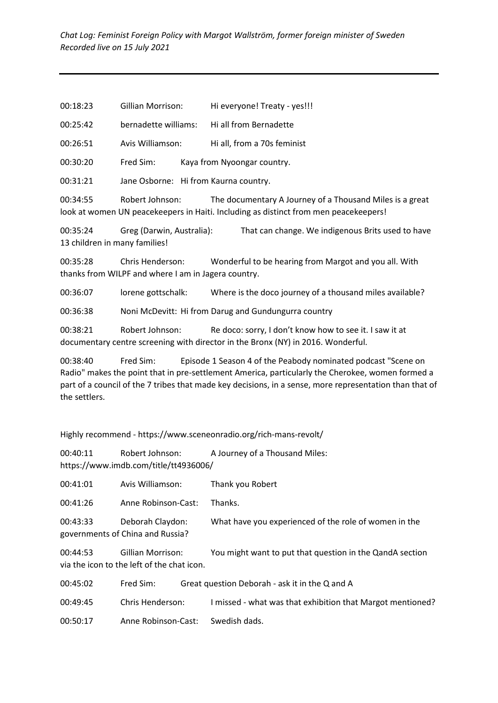| 00:18:23 | Gillian Morrison: | Hi everyone! Treaty - yes!!! |
|----------|-------------------|------------------------------|
|----------|-------------------|------------------------------|

00:25:42 bernadette williams: Hi all from Bernadette

00:26:51 Avis Williamson: Hi all, from a 70s feminist

00:30:20 Fred Sim: Kaya from Nyoongar country.

00:31:21 Jane Osborne: Hi from Kaurna country.

00:34:55 Robert Johnson: The documentary A Journey of a Thousand Miles is a great look at women UN peacekeepers in Haiti. Including as distinct from men peacekeepers!

00:35:24 Greg (Darwin, Australia): That can change. We indigenous Brits used to have 13 children in many families!

00:35:28 Chris Henderson: Wonderful to be hearing from Margot and you all. With thanks from WILPF and where I am in Jagera country.

00:36:07 lorene gottschalk: Where is the doco journey of a thousand miles available?

00:36:38 Noni McDevitt: Hi from Darug and Gundungurra country

00:38:21 Robert Johnson: Re doco: sorry, I don't know how to see it. I saw it at documentary centre screening with director in the Bronx (NY) in 2016. Wonderful.

00:38:40 Fred Sim: Episode 1 Season 4 of the Peabody nominated podcast "Scene on Radio" makes the point that in pre-settlement America, particularly the Cherokee, women formed a part of a council of the 7 tribes that made key decisions, in a sense, more representation than that of the settlers.

Highly recommend - https://www.sceneonradio.org/rich-mans-revolt/

00:40:11 Robert Johnson: A Journey of a Thousand Miles: https://www.imdb.com/title/tt4936006/

00:41:01 Avis Williamson: Thank you Robert

00:41:26 Anne Robinson-Cast: Thanks.

00:43:33 Deborah Claydon: What have you experienced of the role of women in the governments of China and Russia?

00:44:53 Gillian Morrison: You might want to put that question in the QandA section via the icon to the left of the chat icon.

| 00:45:02 | Fred Sim: | Great question Deborah - ask it in the Q and A |
|----------|-----------|------------------------------------------------|
|          |           |                                                |

```
00:49:45 Chris Henderson: I missed - what was that exhibition that Margot mentioned?
```
00:50:17 Anne Robinson-Cast: Swedish dads.